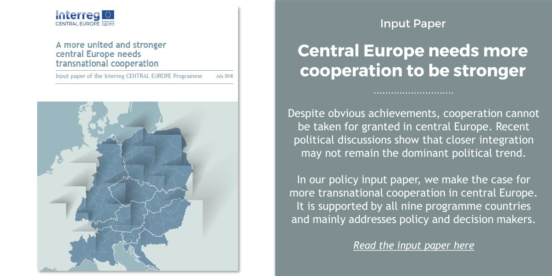### **Interregion**

#### A more united and stronger central Europe needs transnational cooperation

Input paper of the Interreg CENTRAL EUROPE Programme **July 2018** 



### **Input Paper**

## **Central Europe needs more** cooperation to be stronger

Despite obvious achievements, cooperation cannot be taken for granted in central Europe. Recent political discussions show that closer integration may not remain the dominant political trend.

In our policy input paper, we make the case for more transnational cooperation in central Europe. It is supported by all nine programme countries and mainly addresses policy and decision makers.

*Read the input paper here*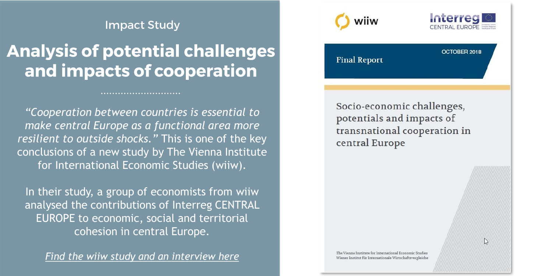#### **Impact Study**

### **Analysis of potential challenges** and impacts of cooperation

*"Cooperation between countries is essential to make central Europe as a functional area more resilient to outside shocks."* This is one of the key conclusions of a new study by The Vienna Institute for International Economic Studies (wiiw).

In their study, a group of economists from wiiw analysed the contributions of Interreg CENTRAL EUROPE to economic, social and territorial cohesion in central Europe.

*Find the wiiw study and an interview here*





OCTORER 2018

 $\mathbb{Z}$ 

**Final Report** 

Socio-economic challenges, potentials and impacts of transnational cooperation in central Europe

The Vienna Institute for International Economic Studies Wiener Institut für Internationale Wirtschaftsvergleiche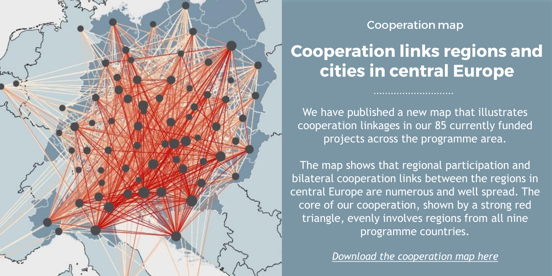

#### **Cooperation map**

## **Cooperation links regions and** cities in central Europe

We have published a new map that illustrates cooperation linkages in our 85 currently funded projects across the programme area.

The map shows that regional participation and bilateral cooperation links between the regions in central Europe are numerous and well spread. The core of our cooperation, shown by a strong red triangle, evenly involves regions from all nine programme countries.

*Download the cooperation map here*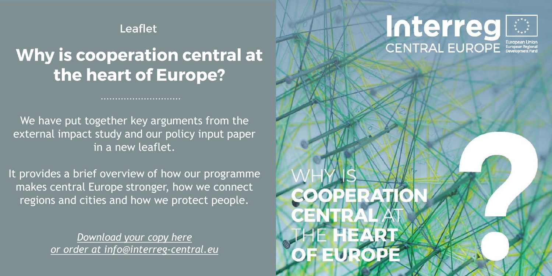#### **Leaflet**

### Why is cooperation central at the heart of Europe?

We have put together key arguments from the external impact study and our policy input paper in a new leaflet.

It provides a brief overview of how our programme makes central Europe stronger, how we connect regions and cities and how we protect people.

> *Download your copy here or order at info@interreg-central.eu*